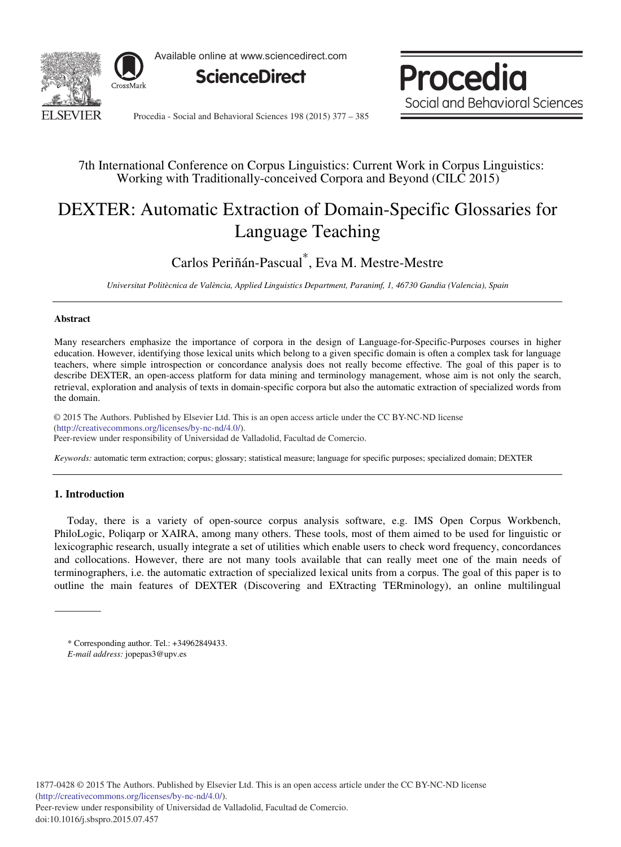

Available online at www.sciencedirect.com



Procedia Social and Behavioral Sciences

Procedia - Social and Behavioral Sciences 198 (2015) 377 - 385

# 7th International Conference on Corpus Linguistics: Current Work in Corpus Linguistics: Working with Traditionally-conceived Corpora and Beyond (CILC 2015)

# DEXTER: Automatic Extraction of Domain-Specific Glossaries for Language Teaching

# Carlos Periñán-Pascual<sup>∗</sup> , Eva M. Mestre-Mestre

*Universitat Politècnica de València, Applied Linguistics Department, Paranimf, 1, 46730 Gandia (Valencia), Spain* 

#### **Abstract**

Many researchers emphasize the importance of corpora in the design of Language-for-Specific-Purposes courses in higher education. However, identifying those lexical units which belong to a given specific domain is often a complex task for language teachers, where simple introspection or concordance analysis does not really become effective. The goal of this paper is to describe DEXTER, an open-access platform for data mining and terminology management, whose aim is not only the search, retrieval, exploration and analysis of texts in domain-specific corpora but also the automatic extraction of specialized words from the domain.

© 2015 The Authors. Published by Elsevier Ltd. (http://creativecommons.org/licenses/by-nc-nd/4.0/). Peer-review under responsibility of Universidad de Valladolid, Facultad de Comercio. Peer-review under responsibility of Universidad de Valladolid, Facultad de Comercio.© 2015 The Authors. Published by Elsevier Ltd. This is an open access article under the CC BY-NC-ND license

*Keywords:* automatic term extraction; corpus; glossary; statistical measure; language for specific purposes; specialized domain; DEXTER

## **1. Introduction**

Today, there is a variety of open-source corpus analysis software, e.g. IMS Open Corpus Workbench, PhiloLogic, Poliqarp or XAIRA, among many others. These tools, most of them aimed to be used for linguistic or lexicographic research, usually integrate a set of utilities which enable users to check word frequency, concordances and collocations. However, there are not many tools available that can really meet one of the main needs of terminographers, i.e. the automatic extraction of specialized lexical units from a corpus. The goal of this paper is to outline the main features of DEXTER (Discovering and EXtracting TERminology), an online multilingual

<sup>\*</sup> Corresponding author. Tel.: +34962849433. *E-mail address:* jopepas3@upv.es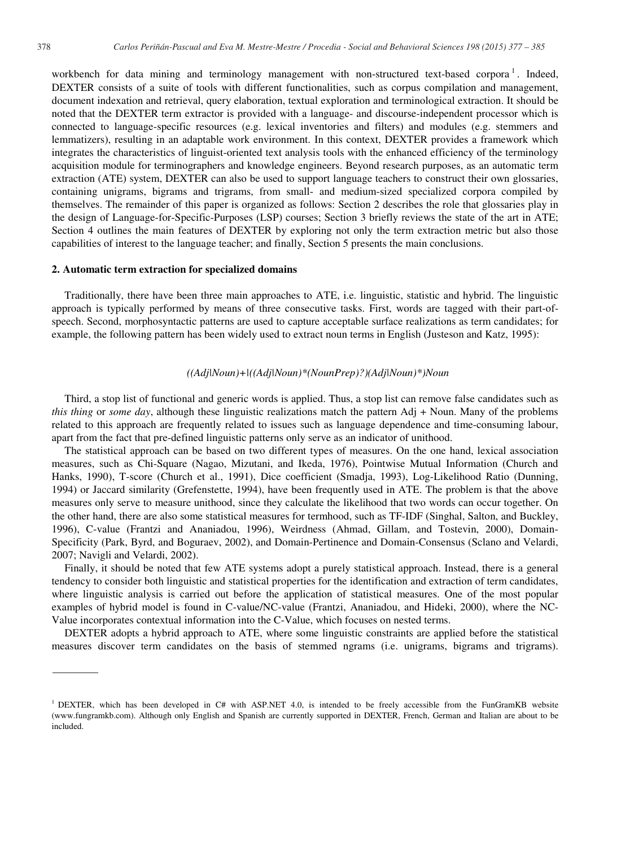workbench for data mining and terminology management with non-structured text-based corpora<sup>1</sup>. Indeed, DEXTER consists of a suite of tools with different functionalities, such as corpus compilation and management, document indexation and retrieval, query elaboration, textual exploration and terminological extraction. It should be noted that the DEXTER term extractor is provided with a language- and discourse-independent processor which is connected to language-specific resources (e.g. lexical inventories and filters) and modules (e.g. stemmers and lemmatizers), resulting in an adaptable work environment. In this context, DEXTER provides a framework which integrates the characteristics of linguist-oriented text analysis tools with the enhanced efficiency of the terminology acquisition module for terminographers and knowledge engineers. Beyond research purposes, as an automatic term extraction (ATE) system, DEXTER can also be used to support language teachers to construct their own glossaries, containing unigrams, bigrams and trigrams, from small- and medium-sized specialized corpora compiled by themselves. The remainder of this paper is organized as follows: Section 2 describes the role that glossaries play in the design of Language-for-Specific-Purposes (LSP) courses; Section 3 briefly reviews the state of the art in ATE; Section 4 outlines the main features of DEXTER by exploring not only the term extraction metric but also those capabilities of interest to the language teacher; and finally, Section 5 presents the main conclusions.

### **2. Automatic term extraction for specialized domains**

Traditionally, there have been three main approaches to ATE, i.e. linguistic, statistic and hybrid. The linguistic approach is typically performed by means of three consecutive tasks. First, words are tagged with their part-ofspeech. Second, morphosyntactic patterns are used to capture acceptable surface realizations as term candidates; for example, the following pattern has been widely used to extract noun terms in English (Justeson and Katz, 1995):

#### *((Adj|Noun)+|((Adj|Noun)\*(NounPrep)?)(Adj|Noun)\*)Noun*

Third, a stop list of functional and generic words is applied. Thus, a stop list can remove false candidates such as *this thing* or *some day*, although these linguistic realizations match the pattern Adj + Noun. Many of the problems related to this approach are frequently related to issues such as language dependence and time-consuming labour, apart from the fact that pre-defined linguistic patterns only serve as an indicator of unithood.

The statistical approach can be based on two different types of measures. On the one hand, lexical association measures, such as Chi-Square (Nagao, Mizutani, and Ikeda, 1976), Pointwise Mutual Information (Church and Hanks, 1990), T-score (Church et al., 1991), Dice coefficient (Smadja, 1993), Log-Likelihood Ratio (Dunning, 1994) or Jaccard similarity (Grefenstette, 1994), have been frequently used in ATE. The problem is that the above measures only serve to measure unithood, since they calculate the likelihood that two words can occur together. On the other hand, there are also some statistical measures for termhood, such as TF-IDF (Singhal, Salton, and Buckley, 1996), C-value (Frantzi and Ananiadou, 1996), Weirdness (Ahmad, Gillam, and Tostevin, 2000), Domain-Specificity (Park, Byrd, and Boguraev, 2002), and Domain-Pertinence and Domain-Consensus (Sclano and Velardi, 2007; Navigli and Velardi, 2002).

Finally, it should be noted that few ATE systems adopt a purely statistical approach. Instead, there is a general tendency to consider both linguistic and statistical properties for the identification and extraction of term candidates, where linguistic analysis is carried out before the application of statistical measures. One of the most popular examples of hybrid model is found in C-value/NC-value (Frantzi, Ananiadou, and Hideki, 2000), where the NC-Value incorporates contextual information into the C-Value, which focuses on nested terms.

DEXTER adopts a hybrid approach to ATE, where some linguistic constraints are applied before the statistical measures discover term candidates on the basis of stemmed ngrams (i.e. unigrams, bigrams and trigrams).

 $1$  DEXTER, which has been developed in C# with ASP.NET 4.0, is intended to be freely accessible from the FunGramKB website (www.fungramkb.com). Although only English and Spanish are currently supported in DEXTER, French, German and Italian are about to be included.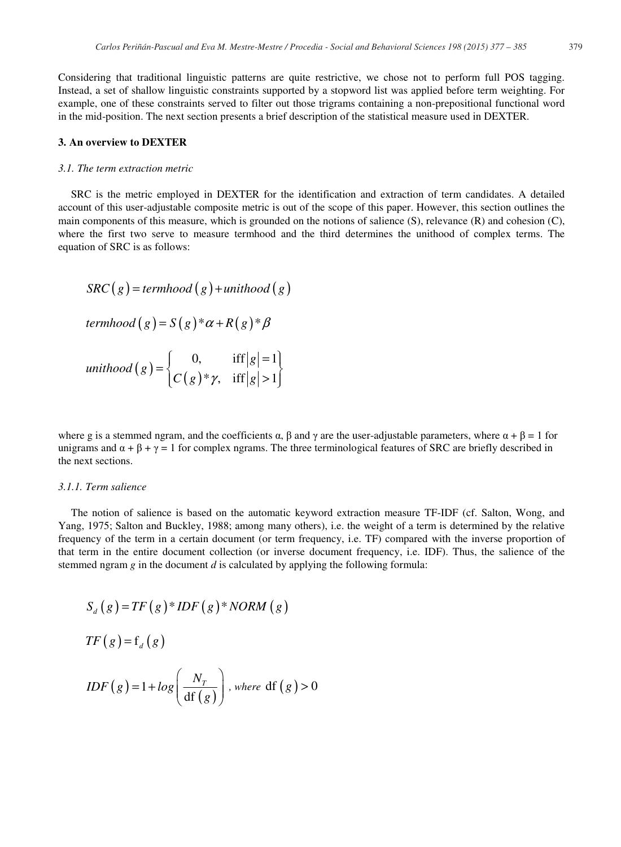Considering that traditional linguistic patterns are quite restrictive, we chose not to perform full POS tagging. Instead, a set of shallow linguistic constraints supported by a stopword list was applied before term weighting. For example, one of these constraints served to filter out those trigrams containing a non-prepositional functional word in the mid-position. The next section presents a brief description of the statistical measure used in DEXTER.

### **3. An overview to DEXTER**

#### *3.1. The term extraction metric*

SRC is the metric employed in DEXTER for the identification and extraction of term candidates. A detailed account of this user-adjustable composite metric is out of the scope of this paper. However, this section outlines the main components of this measure, which is grounded on the notions of salience (S), relevance (R) and cohesion (C), where the first two serve to measure termhood and the third determines the unithood of complex terms. The equation of SRC is as follows:

$$
SRC(g) = termhood(g) + unithood(g)
$$
  
termhood(g) =  $S(g)*\alpha + R(g)*\beta$   
unithood(g) =  $\begin{cases} 0, & \text{iff } |g| = 1 \\ C(g)*\gamma, & \text{iff } |g| > 1 \end{cases}$ 

where g is a stemmed ngram, and the coefficients  $\alpha$ ,  $\beta$  and  $\gamma$  are the user-adjustable parameters, where  $\alpha + \beta = 1$  for unigrams and  $\alpha + \beta + \gamma = 1$  for complex ngrams. The three terminological features of SRC are briefly described in the next sections.

#### *3.1.1. Term salience*

The notion of salience is based on the automatic keyword extraction measure TF-IDF (cf. Salton, Wong, and Yang, 1975; Salton and Buckley, 1988; among many others), i.e. the weight of a term is determined by the relative frequency of the term in a certain document (or term frequency, i.e. TF) compared with the inverse proportion of that term in the entire document collection (or inverse document frequency, i.e. IDF). Thus, the salience of the stemmed ngram *g* in the document *d* is calculated by applying the following formula:

$$
S_d(g) = TF(g) * IDF(g) * NORMAL(g)
$$

$$
TF(g) = f_d(g)
$$

$$
IDF(g) = 1 + log\left(\frac{N_T}{df(g)}\right), \text{ where } df(g) > 0
$$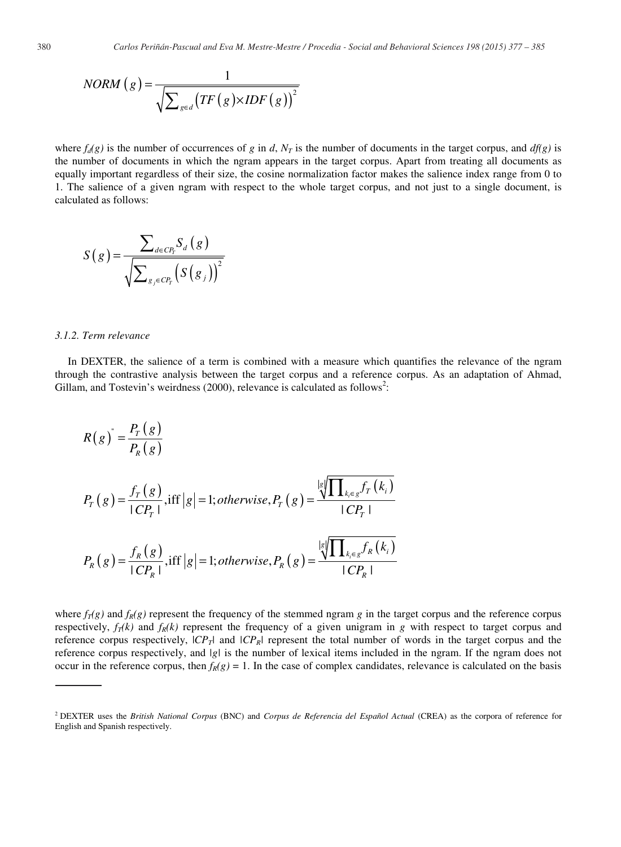$$
NORM(g) = \frac{1}{\sqrt{\sum_{g \in d} (TF(g) \times IDF(g))^{2}}}
$$

where  $f_d(g)$  is the number of occurrences of *g* in *d*,  $N_T$  is the number of documents in the target corpus, and  $df(g)$  is the number of documents in which the ngram appears in the target corpus. Apart from treating all documents as equally important regardless of their size, the cosine normalization factor makes the salience index range from 0 to 1. The salience of a given ngram with respect to the whole target corpus, and not just to a single document, is calculated as follows:

$$
S(g) = \frac{\sum_{d \in CP_I} S_d(g)}{\sqrt{\sum_{g_j \in CP_I} (S(g_j))}^2}
$$

### *3.1.2. Term relevance*

In DEXTER, the salience of a term is combined with a measure which quantifies the relevance of the ngram through the contrastive analysis between the target corpus and a reference corpus. As an adaptation of Ahmad, Gillam, and Tostevin's weirdness (2000), relevance is calculated as follows<sup>2</sup>:

$$
R(g) = \frac{P_T(g)}{P_R(g)}
$$
  
\n
$$
P_T(g) = \frac{f_T(g)}{|CP_T|}, \text{ iff } |g| = 1; \text{ otherwise, } P_T(g) = \frac{\sqrt{\prod_{k_i \in g} f_T(k_i)}}{|CP_T|}
$$
  
\n
$$
P_R(g) = \frac{f_R(g)}{|CP_R|}, \text{ iff } |g| = 1; \text{ otherwise, } P_R(g) = \frac{\sqrt{\prod_{k_i \in g} f_R(k_i)}}{|CP_R|}
$$

where  $f_T(g)$  and  $f_R(g)$  represent the frequency of the stemmed ngram *g* in the target corpus and the reference corpus respectively,  $f_T(k)$  and  $f_R(k)$  represent the frequency of a given unigram in *g* with respect to target corpus and reference corpus respectively,  $|CP_T|$  and  $|CP_R|$  represent the total number of words in the target corpus and the reference corpus respectively, and *|g|* is the number of lexical items included in the ngram. If the ngram does not occur in the reference corpus, then  $f_R(g) = 1$ . In the case of complex candidates, relevance is calculated on the basis

<sup>2</sup> DEXTER uses the *British National Corpus* (BNC) and *Corpus de Referencia del Español Actual* (CREA) as the corpora of reference for English and Spanish respectively.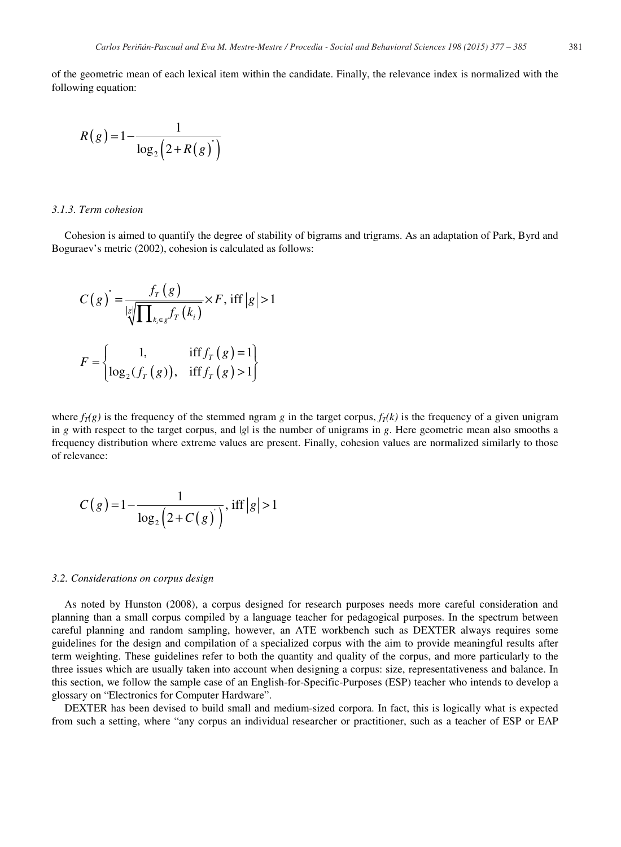of the geometric mean of each lexical item within the candidate. Finally, the relevance index is normalized with the following equation:

$$
R(g) = 1 - \frac{1}{\log_2(2 + R(g))}
$$

#### *3.1.3. Term cohesion*

Cohesion is aimed to quantify the degree of stability of bigrams and trigrams. As an adaptation of Park, Byrd and Boguraev's metric (2002), cohesion is calculated as follows:

$$
C(g) = \frac{f_T(g)}{\sqrt{\prod_{k_i \in g} f_T(k_i)}} \times F, \text{ iff } |g| > 1
$$
  

$$
F = \begin{cases} 1, & \text{iff } f_T(g) = 1 \\ \log_2(f_T(g)), & \text{iff } f_T(g) > 1 \end{cases}
$$

where  $f_T(g)$  is the frequency of the stemmed ngram g in the target corpus,  $f_T(k)$  is the frequency of a given unigram in *g* with respect to the target corpus, and |*g*| is the number of unigrams in *g*. Here geometric mean also smooths a frequency distribution where extreme values are present. Finally, cohesion values are normalized similarly to those of relevance:

$$
C(g) = 1 - \frac{1}{\log_2(2 + C(g))}, \text{ iff } |g| > 1
$$

#### *3.2. Considerations on corpus design*

As noted by Hunston (2008), a corpus designed for research purposes needs more careful consideration and planning than a small corpus compiled by a language teacher for pedagogical purposes. In the spectrum between careful planning and random sampling, however, an ATE workbench such as DEXTER always requires some guidelines for the design and compilation of a specialized corpus with the aim to provide meaningful results after term weighting. These guidelines refer to both the quantity and quality of the corpus, and more particularly to the three issues which are usually taken into account when designing a corpus: size, representativeness and balance. In this section, we follow the sample case of an English-for-Specific-Purposes (ESP) teacher who intends to develop a glossary on "Electronics for Computer Hardware".

DEXTER has been devised to build small and medium-sized corpora. In fact, this is logically what is expected from such a setting, where "any corpus an individual researcher or practitioner, such as a teacher of ESP or EAP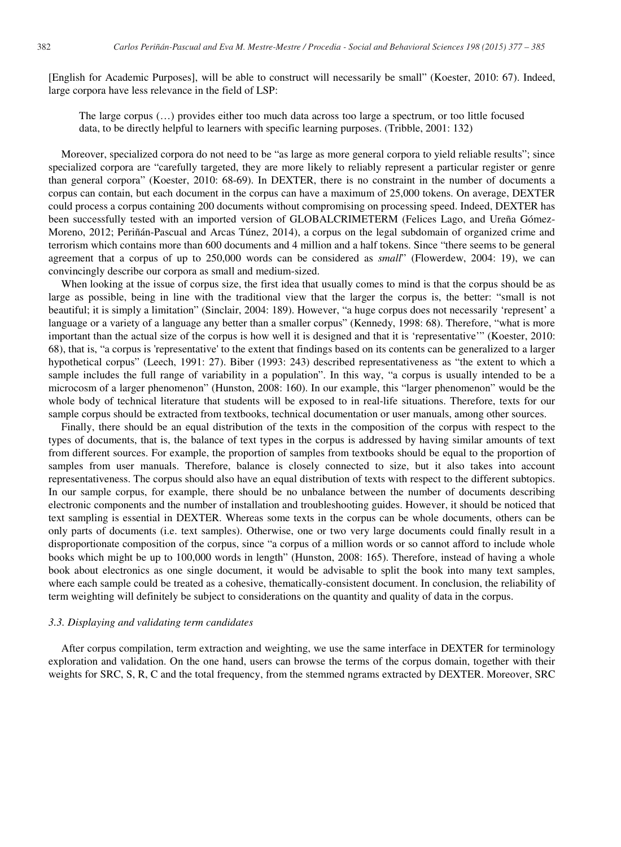[English for Academic Purposes], will be able to construct will necessarily be small" (Koester, 2010: 67). Indeed, large corpora have less relevance in the field of LSP:

The large corpus (…) provides either too much data across too large a spectrum, or too little focused data, to be directly helpful to learners with specific learning purposes. (Tribble, 2001: 132)

Moreover, specialized corpora do not need to be "as large as more general corpora to yield reliable results"; since specialized corpora are "carefully targeted, they are more likely to reliably represent a particular register or genre than general corpora" (Koester, 2010: 68-69). In DEXTER, there is no constraint in the number of documents a corpus can contain, but each document in the corpus can have a maximum of 25,000 tokens. On average, DEXTER could process a corpus containing 200 documents without compromising on processing speed. Indeed, DEXTER has been successfully tested with an imported version of GLOBALCRIMETERM (Felices Lago, and Ureña Gómez-Moreno, 2012; Periñán-Pascual and Arcas Túnez, 2014), a corpus on the legal subdomain of organized crime and terrorism which contains more than 600 documents and 4 million and a half tokens. Since "there seems to be general agreement that a corpus of up to 250,000 words can be considered as *small*" (Flowerdew, 2004: 19), we can convincingly describe our corpora as small and medium-sized.

When looking at the issue of corpus size, the first idea that usually comes to mind is that the corpus should be as large as possible, being in line with the traditional view that the larger the corpus is, the better: "small is not beautiful; it is simply a limitation" (Sinclair, 2004: 189). However, "a huge corpus does not necessarily 'represent' a language or a variety of a language any better than a smaller corpus" (Kennedy, 1998: 68). Therefore, "what is more important than the actual size of the corpus is how well it is designed and that it is 'representative'" (Koester, 2010: 68), that is, "a corpus is 'representative' to the extent that findings based on its contents can be generalized to a larger hypothetical corpus" (Leech, 1991: 27). Biber (1993: 243) described representativeness as "the extent to which a sample includes the full range of variability in a population". In this way, "a corpus is usually intended to be a microcosm of a larger phenomenon" (Hunston, 2008: 160). In our example, this "larger phenomenon" would be the whole body of technical literature that students will be exposed to in real-life situations. Therefore, texts for our sample corpus should be extracted from textbooks, technical documentation or user manuals, among other sources.

Finally, there should be an equal distribution of the texts in the composition of the corpus with respect to the types of documents, that is, the balance of text types in the corpus is addressed by having similar amounts of text from different sources. For example, the proportion of samples from textbooks should be equal to the proportion of samples from user manuals. Therefore, balance is closely connected to size, but it also takes into account representativeness. The corpus should also have an equal distribution of texts with respect to the different subtopics. In our sample corpus, for example, there should be no unbalance between the number of documents describing electronic components and the number of installation and troubleshooting guides. However, it should be noticed that text sampling is essential in DEXTER. Whereas some texts in the corpus can be whole documents, others can be only parts of documents (i.e. text samples). Otherwise, one or two very large documents could finally result in a disproportionate composition of the corpus, since "a corpus of a million words or so cannot afford to include whole books which might be up to 100,000 words in length" (Hunston, 2008: 165). Therefore, instead of having a whole book about electronics as one single document, it would be advisable to split the book into many text samples, where each sample could be treated as a cohesive, thematically-consistent document. In conclusion, the reliability of term weighting will definitely be subject to considerations on the quantity and quality of data in the corpus.

#### *3.3. Displaying and validating term candidates*

After corpus compilation, term extraction and weighting, we use the same interface in DEXTER for terminology exploration and validation. On the one hand, users can browse the terms of the corpus domain, together with their weights for SRC, S, R, C and the total frequency, from the stemmed ngrams extracted by DEXTER. Moreover, SRC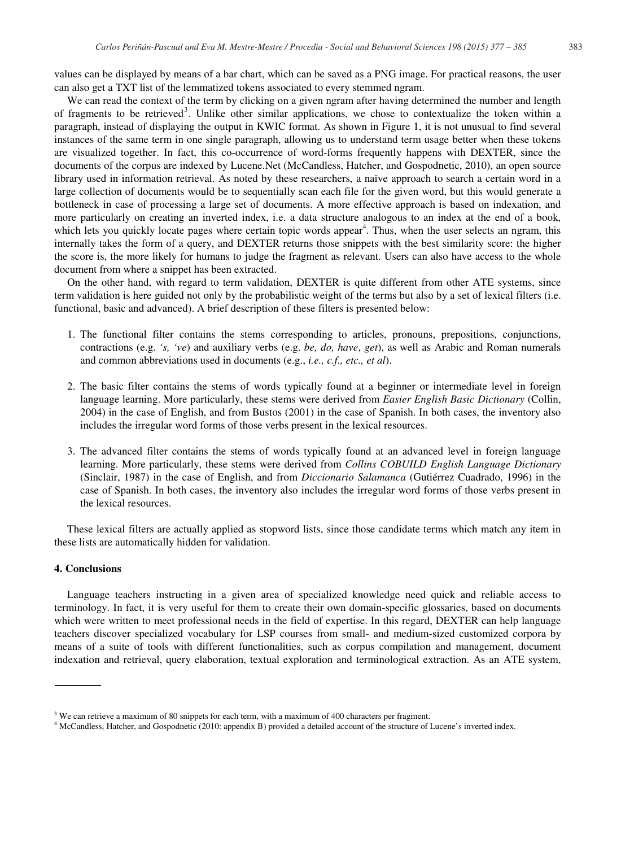We can read the context of the term by clicking on a given ngram after having determined the number and length of fragments to be retrieved<sup>3</sup>. Unlike other similar applications, we chose to contextualize the token within a paragraph, instead of displaying the output in KWIC format. As shown in Figure 1, it is not unusual to find several instances of the same term in one single paragraph, allowing us to understand term usage better when these tokens are visualized together. In fact, this co-occurrence of word-forms frequently happens with DEXTER, since the documents of the corpus are indexed by Lucene.Net (McCandless, Hatcher, and Gospodnetic, 2010), an open source library used in information retrieval. As noted by these researchers, a naïve approach to search a certain word in a large collection of documents would be to sequentially scan each file for the given word, but this would generate a bottleneck in case of processing a large set of documents. A more effective approach is based on indexation, and more particularly on creating an inverted index, i.e. a data structure analogous to an index at the end of a book, which lets you quickly locate pages where certain topic words appear<sup>4</sup>. Thus, when the user selects an ngram, this internally takes the form of a query, and DEXTER returns those snippets with the best similarity score: the higher the score is, the more likely for humans to judge the fragment as relevant. Users can also have access to the whole document from where a snippet has been extracted.

On the other hand, with regard to term validation, DEXTER is quite different from other ATE systems, since term validation is here guided not only by the probabilistic weight of the terms but also by a set of lexical filters (i.e. functional, basic and advanced). A brief description of these filters is presented below:

- 1. The functional filter contains the stems corresponding to articles, pronouns, prepositions, conjunctions, contractions (e.g. *'s, 've*) and auxiliary verbs (e.g. *be, do, have*, *get*), as well as Arabic and Roman numerals and common abbreviations used in documents (e.g., *i.e., c.f., etc., et al*).
- 2. The basic filter contains the stems of words typically found at a beginner or intermediate level in foreign language learning. More particularly, these stems were derived from *Easier English Basic Dictionary* (Collin, 2004) in the case of English, and from Bustos (2001) in the case of Spanish. In both cases, the inventory also includes the irregular word forms of those verbs present in the lexical resources.
- 3. The advanced filter contains the stems of words typically found at an advanced level in foreign language learning. More particularly, these stems were derived from *Collins COBUILD English Language Dictionary* (Sinclair, 1987) in the case of English, and from *Diccionario Salamanca* (Gutiérrez Cuadrado, 1996) in the case of Spanish. In both cases, the inventory also includes the irregular word forms of those verbs present in the lexical resources.

These lexical filters are actually applied as stopword lists, since those candidate terms which match any item in these lists are automatically hidden for validation.

### **4. Conclusions**

Language teachers instructing in a given area of specialized knowledge need quick and reliable access to terminology. In fact, it is very useful for them to create their own domain-specific glossaries, based on documents which were written to meet professional needs in the field of expertise. In this regard, DEXTER can help language teachers discover specialized vocabulary for LSP courses from small- and medium-sized customized corpora by means of a suite of tools with different functionalities, such as corpus compilation and management, document indexation and retrieval, query elaboration, textual exploration and terminological extraction. As an ATE system,

<sup>&</sup>lt;sup>3</sup> We can retrieve a maximum of 80 snippets for each term, with a maximum of 400 characters per fragment.

<sup>&</sup>lt;sup>4</sup> McCandless, Hatcher, and Gospodnetic (2010: appendix B) provided a detailed account of the structure of Lucene's inverted index.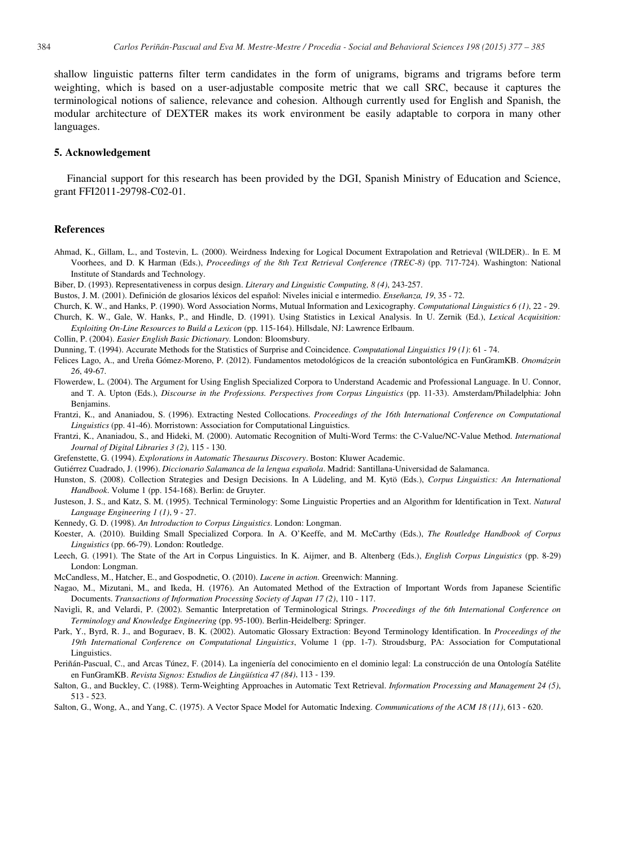shallow linguistic patterns filter term candidates in the form of unigrams, bigrams and trigrams before term weighting, which is based on a user-adjustable composite metric that we call SRC, because it captures the terminological notions of salience, relevance and cohesion. Although currently used for English and Spanish, the modular architecture of DEXTER makes its work environment be easily adaptable to corpora in many other languages.

#### **5. Acknowledgement**

Financial support for this research has been provided by the DGI, Spanish Ministry of Education and Science, grant FFI2011-29798-C02-01.

#### **References**

- Ahmad, K., Gillam, L., and Tostevin, L. (2000). Weirdness Indexing for Logical Document Extrapolation and Retrieval (WILDER).. In E. M Voorhees, and D. K Harman (Eds.), *Proceedings of the 8th Text Retrieval Conference (TREC-8)* (pp. 717-724). Washington: National Institute of Standards and Technology.
- Biber, D. (1993). Representativeness in corpus design. *Literary and Linguistic Computing, 8 (4)*, 243-257.
- Bustos, J. M. (2001). Definición de glosarios léxicos del español: Niveles inicial e intermedio. *Enseñanza, 19*, 35 72.
- Church, K. W., and Hanks, P. (1990). Word Association Norms, Mutual Information and Lexicography. *Computational Linguistics 6 (1)*, 22 29.
- Church, K. W., Gale, W. Hanks, P., and Hindle, D. (1991). Using Statistics in Lexical Analysis. In U. Zernik (Ed.), *Lexical Acquisition: Exploiting On-Line Resources to Build a Lexicon* (pp. 115-164). Hillsdale, NJ: Lawrence Erlbaum.
- Collin, P. (2004). *Easier English Basic Dictionary.* London: Bloomsbury.
- Dunning, T. (1994). Accurate Methods for the Statistics of Surprise and Coincidence. *Computational Linguistics 19 (1)*: 61 74.
- Felices Lago, A., and Ureña Gómez-Moreno, P. (2012). Fundamentos metodológicos de la creación subontológica en FunGramKB. *Onomázein 26*, 49-67.
- Flowerdew, L. (2004). The Argument for Using English Specialized Corpora to Understand Academic and Professional Language. In U. Connor, and T. A. Upton (Eds.), *Discourse in the Professions. Perspectives from Corpus Linguistics* (pp. 11-33). Amsterdam/Philadelphia: John Benjamins.
- Frantzi, K., and Ananiadou, S. (1996). Extracting Nested Collocations. *Proceedings of the 16th International Conference on Computational Linguistics* (pp. 41-46). Morristown: Association for Computational Linguistics.
- Frantzi, K., Ananiadou, S., and Hideki, M. (2000). Automatic Recognition of Multi-Word Terms: the C-Value/NC-Value Method. *International Journal of Digital Libraries 3 (2)*, 115 - 130.
- Grefenstette, G. (1994). *Explorations in Automatic Thesaurus Discovery*. Boston: Kluwer Academic.
- Gutiérrez Cuadrado, J. (1996). *Diccionario Salamanca de la lengua española*. Madrid: Santillana-Universidad de Salamanca.
- Hunston, S. (2008). Collection Strategies and Design Decisions. In A Lüdeling, and M. Kytö (Eds.), *Corpus Linguistics: An International Handbook*. Volume 1 (pp. 154-168). Berlin: de Gruyter.
- Justeson, J. S., and Katz, S. M. (1995). Technical Terminology: Some Linguistic Properties and an Algorithm for Identification in Text. *Natural Language Engineering 1 (1)*, 9 - 27.
- Kennedy, G. D. (1998). *An Introduction to Corpus Linguistics*. London: Longman.
- Koester, A. (2010). Building Small Specialized Corpora. In A. O'Keeffe, and M. McCarthy (Eds.), *The Routledge Handbook of Corpus Linguistics* (pp. 66-79). London: Routledge.
- Leech, G. (1991). The State of the Art in Corpus Linguistics. In K. Aijmer, and B. Altenberg (Eds.), *English Corpus Linguistics* (pp. 8-29) London: Longman.
- McCandless, M., Hatcher, E., and Gospodnetic, O. (2010). *Lucene in action.* Greenwich: Manning.
- Nagao, M., Mizutani, M., and Ikeda, H. (1976). An Automated Method of the Extraction of Important Words from Japanese Scientific Documents. *Transactions of Information Processing Society of Japan 17 (2)*, 110 - 117.
- Navigli, R, and Velardi, P. (2002). Semantic Interpretation of Terminological Strings. *Proceedings of the 6th International Conference on Terminology and Knowledge Engineering* (pp. 95-100). Berlin-Heidelberg: Springer.
- Park, Y., Byrd, R. J., and Boguraev, B. K. (2002). Automatic Glossary Extraction: Beyond Terminology Identification. In *Proceedings of the 19th International Conference on Computational Linguistics*, Volume 1 (pp. 1-7). Stroudsburg, PA: Association for Computational Linguistics.
- Periñán-Pascual, C., and Arcas Túnez, F. (2014). La ingeniería del conocimiento en el dominio legal: La construcción de una Ontología Satélite en FunGramKB. *Revista Signos: Estudios de Lingüística 47 (84)*, 113 - 139.
- Salton, G., and Buckley, C. (1988). Term-Weighting Approaches in Automatic Text Retrieval. *Information Processing and Management 24 (5)*, 513 - 523.
- Salton, G., Wong, A., and Yang, C. (1975). A Vector Space Model for Automatic Indexing. *Communications of the ACM 18 (11)*, 613 620.